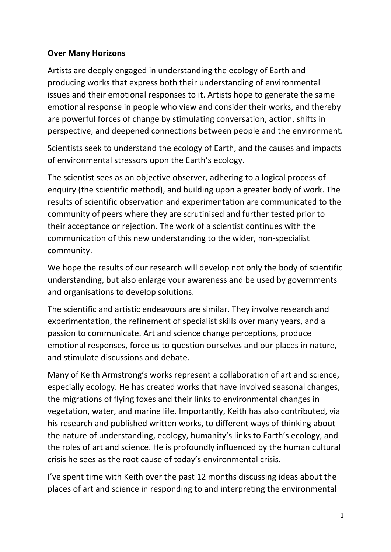## **Over Many Horizons**

Artists are deeply engaged in understanding the ecology of Earth and producing works that express both their understanding of environmental issues and their emotional responses to it. Artists hope to generate the same emotional response in people who view and consider their works, and thereby are powerful forces of change by stimulating conversation, action, shifts in perspective, and deepened connections between people and the environment.

Scientists seek to understand the ecology of Earth, and the causes and impacts of environmental stressors upon the Earth's ecology.

The scientist sees as an objective observer, adhering to a logical process of enquiry (the scientific method), and building upon a greater body of work. The results of scientific observation and experimentation are communicated to the community of peers where they are scrutinised and further tested prior to their acceptance or rejection. The work of a scientist continues with the communication of this new understanding to the wider, non-specialist community.

We hope the results of our research will develop not only the body of scientific understanding, but also enlarge your awareness and be used by governments and organisations to develop solutions.

The scientific and artistic endeavours are similar. They involve research and experimentation, the refinement of specialist skills over many years, and a passion to communicate. Art and science change perceptions, produce emotional responses, force us to question ourselves and our places in nature, and stimulate discussions and debate.

Many of Keith Armstrong's works represent a collaboration of art and science, especially ecology. He has created works that have involved seasonal changes, the migrations of flying foxes and their links to environmental changes in vegetation, water, and marine life. Importantly, Keith has also contributed, via his research and published written works, to different ways of thinking about the nature of understanding, ecology, humanity's links to Earth's ecology, and the roles of art and science. He is profoundly influenced by the human cultural crisis he sees as the root cause of today's environmental crisis.

I've spent time with Keith over the past 12 months discussing ideas about the places of art and science in responding to and interpreting the environmental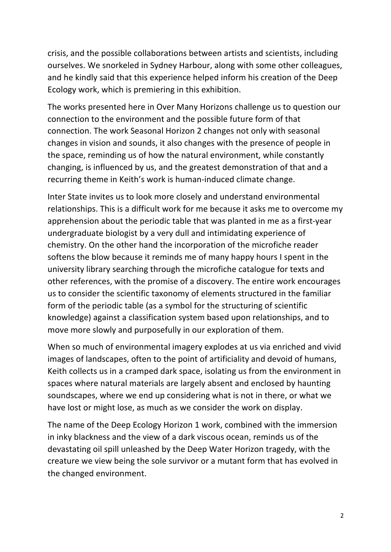crisis, and the possible collaborations between artists and scientists, including ourselves. We snorkeled in Sydney Harbour, along with some other colleagues, and he kindly said that this experience helped inform his creation of the Deep Ecology work, which is premiering in this exhibition.

The works presented here in Over Many Horizons challenge us to question our connection to the environment and the possible future form of that connection. The work Seasonal Horizon 2 changes not only with seasonal changes in vision and sounds, it also changes with the presence of people in the space, reminding us of how the natural environment, while constantly changing, is influenced by us, and the greatest demonstration of that and a recurring theme in Keith's work is human-induced climate change.

Inter State invites us to look more closely and understand environmental relationships. This is a difficult work for me because it asks me to overcome my apprehension about the periodic table that was planted in me as a first-year undergraduate biologist by a very dull and intimidating experience of chemistry. On the other hand the incorporation of the microfiche reader softens the blow because it reminds me of many happy hours I spent in the university library searching through the microfiche catalogue for texts and other references, with the promise of a discovery. The entire work encourages us to consider the scientific taxonomy of elements structured in the familiar form of the periodic table (as a symbol for the structuring of scientific knowledge) against a classification system based upon relationships, and to move more slowly and purposefully in our exploration of them.

When so much of environmental imagery explodes at us via enriched and vivid images of landscapes, often to the point of artificiality and devoid of humans, Keith collects us in a cramped dark space, isolating us from the environment in spaces where natural materials are largely absent and enclosed by haunting soundscapes, where we end up considering what is not in there, or what we have lost or might lose, as much as we consider the work on display.

The name of the Deep Ecology Horizon 1 work, combined with the immersion in inky blackness and the view of a dark viscous ocean, reminds us of the devastating oil spill unleashed by the Deep Water Horizon tragedy, with the creature we view being the sole survivor or a mutant form that has evolved in the changed environment.